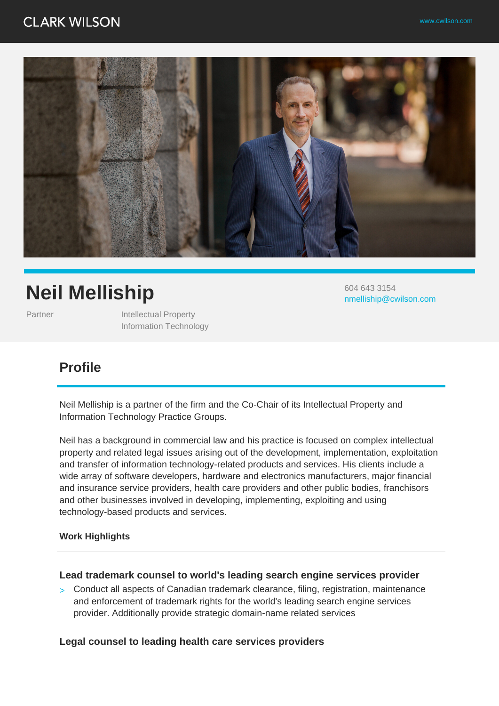# **CLARK WILSON**



# **Neil Melliship**

Partner **Intellectual Property** Information Technology 604 643 3154 nmelliship@cwilson.com

# **Profile**

Neil Melliship is a partner of the firm and the Co-Chair of its Intellectual Property and Information Technology Practice Groups.

Neil has a background in commercial law and his practice is focused on complex intellectual property and related legal issues arising out of the development, implementation, exploitation and transfer of information technology-related products and services. His clients include a wide array of software developers, hardware and electronics manufacturers, major financial and insurance service providers, health care providers and other public bodies, franchisors and other businesses involved in developing, implementing, exploiting and using technology-based products and services.

#### **Work Highlights**

#### **Lead trademark counsel to world's leading search engine services provider**

> Conduct all aspects of Canadian trademark clearance, filing, registration, maintenance and enforcement of trademark rights for the world's leading search engine services provider. Additionally provide strategic domain-name related services

#### **Legal counsel to leading health care services providers**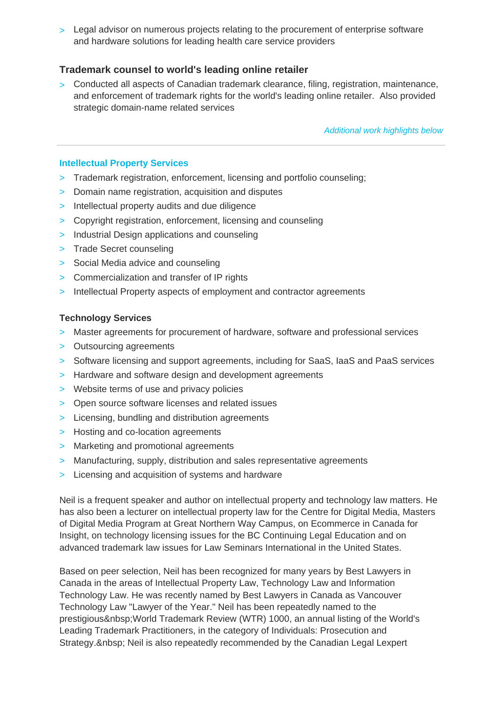> Legal advisor on numerous projects relating to the procurement of enterprise software and hardware solutions for leading health care service providers

#### **Trademark counsel to world's leading online retailer**

> Conducted all aspects of Canadian trademark clearance, filing, registration, maintenance, and enforcement of trademark rights for the world's leading online retailer. Also provided strategic domain-name related services

Additional work highlights below

#### **Intellectual Property Services**

- > Trademark registration, enforcement, licensing and portfolio counseling;
- > Domain name registration, acquisition and disputes
- > Intellectual property audits and due diligence
- > Copyright registration, enforcement, licensing and counseling
- > Industrial Design applications and counseling
- > Trade Secret counseling
- > Social Media advice and counseling
- > Commercialization and transfer of IP rights
- > Intellectual Property aspects of employment and contractor agreements

#### **Technology Services**

- > Master agreements for procurement of hardware, software and professional services
- > Outsourcing agreements
- > Software licensing and support agreements, including for SaaS, IaaS and PaaS services
- > Hardware and software design and development agreements
- > Website terms of use and privacy policies
- > Open source software licenses and related issues
- > Licensing, bundling and distribution agreements
- > Hosting and co-location agreements
- > Marketing and promotional agreements
- > Manufacturing, supply, distribution and sales representative agreements
- > Licensing and acquisition of systems and hardware

Neil is a frequent speaker and author on intellectual property and technology law matters. He has also been a lecturer on intellectual property law for the Centre for Digital Media, Masters of Digital Media Program at Great Northern Way Campus, on Ecommerce in Canada for Insight, on technology licensing issues for the BC Continuing Legal Education and on advanced trademark law issues for Law Seminars International in the United States.

Based on peer selection, Neil has been recognized for many years by Best Lawyers in Canada in the areas of Intellectual Property Law, Technology Law and Information Technology Law. He was recently named by Best Lawyers in Canada as Vancouver Technology Law "Lawyer of the Year." Neil has been repeatedly named to the prestigious World Trademark Review (WTR) 1000, an annual listing of the World's Leading Trademark Practitioners, in the category of Individuals: Prosecution and Strategy. & nbsp; Neil is also repeatedly recommended by the Canadian Legal Lexpert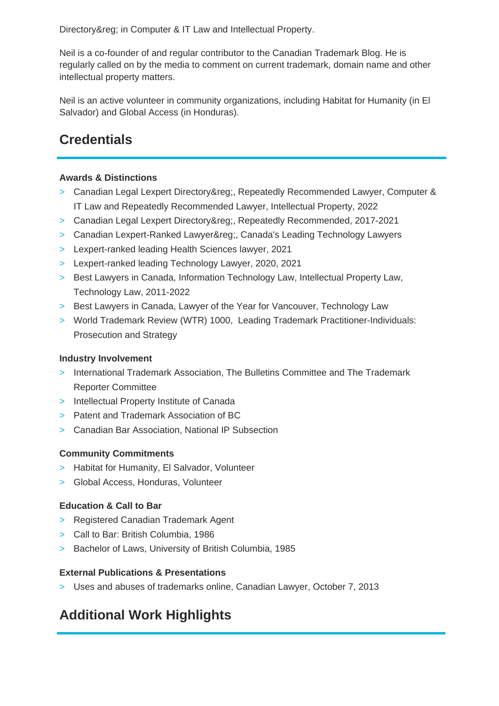Directory® in Computer & IT Law and Intellectual Property.

Neil is a co-founder of and regular contributor to the Canadian Trademark Blog. He is regularly called on by the media to comment on current trademark, domain name and other intellectual property matters.

Neil is an active volunteer in community organizations, including Habitat for Humanity (in El Salvador) and Global Access (in Honduras).

# **Credentials**

#### **Awards & Distinctions**

- > Canadian Legal Lexpert Directory®, Repeatedly Recommended Lawyer, Computer & IT Law and Repeatedly Recommended Lawyer, Intellectual Property, 2022
- > Canadian Legal Lexpert Directory®, Repeatedly Recommended, 2017-2021
- > Canadian Lexpert-Ranked Lawyer®, Canada's Leading Technology Lawyers
- > Lexpert-ranked leading Health Sciences lawyer, 2021
- > Lexpert-ranked leading Technology Lawyer, 2020, 2021
- > Best Lawyers in Canada, Information Technology Law, Intellectual Property Law, Technology Law, 2011-2022
- > Best Lawyers in Canada, Lawyer of the Year for Vancouver, Technology Law
- > World Trademark Review (WTR) 1000, Leading Trademark Practitioner-Individuals: Prosecution and Strategy

#### **Industry Involvement**

- > International Trademark Association, The Bulletins Committee and The Trademark Reporter Committee
- > Intellectual Property Institute of Canada
- > Patent and Trademark Association of BC
- > Canadian Bar Association, National IP Subsection

#### **Community Commitments**

- > Habitat for Humanity, El Salvador, Volunteer
- > Global Access, Honduras, Volunteer

### **Education & Call to Bar**

- > Registered Canadian Trademark Agent
- > Call to Bar: British Columbia, 1986
- > Bachelor of Laws, University of British Columbia, 1985

#### **External Publications & Presentations**

> Uses and abuses of trademarks online, Canadian Lawyer, October 7, 2013

# **Additional Work Highlights**